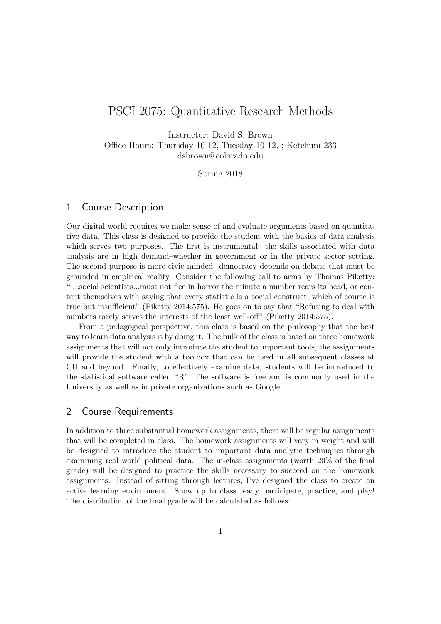# PSCI 2075: Quantitative Research Methods

Instructor: David S. Brown Office Hours: Thursday 10-12, Tuesday 10-12, ; Ketchum 233 dsbrown@colorado.edu

Spring 2018

### 1 Course Description

Our digital world requires we make sense of and evaluate arguments based on quantitative data. This class is designed to provide the student with the basics of data analysis which serves two purposes. The first is instrumental: the skills associated with data analysis are in high demand–whether in government or in the private sector setting. The second purpose is more civic minded: democracy depends on debate that must be grounded in empirical reality. Consider the following call to arms by Thomas Piketty: " ...social scientists...must not flee in horror the minute a number rears its head, or content themselves with saying that every statistic is a social construct, which of course is true but insufficient" (Piketty 2014:575). He goes on to say that "Refusing to deal with numbers rarely serves the interests of the least well-off" (Piketty 2014:575).

From a pedagogical perspective, this class is based on the philosophy that the best way to learn data analysis is by doing it. The bulk of the class is based on three homework assignments that will not only introduce the student to important tools, the assignments will provide the student with a toolbox that can be used in all subsequent classes at CU and beyond. Finally, to effectively examine data, students will be introduced to the statistical software called "R". The software is free and is commonly used in the University as well as in private organizations such as Google.

## 2 Course Requirements

In addition to three substantial homework assignments, there will be regular assignments that will be completed in class. The homework assignments will vary in weight and will be designed to introduce the student to important data analytic techniques through examining real world political data. The in-class assignments (worth 20% of the final grade) will be designed to practice the skills necessary to succeed on the homework assignments. Instead of sitting through lectures, I've designed the class to create an active learning environment. Show up to class ready participate, practice, and play! The distribution of the final grade will be calculated as follows: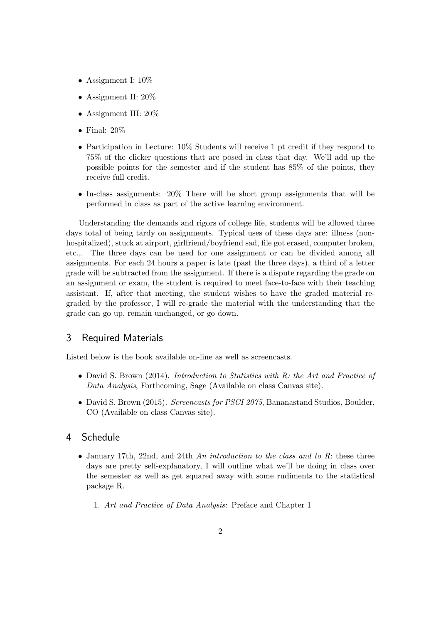- Assignment I:  $10\%$
- Assignment II: 20%
- Assignment III: 20%
- Final:  $20\%$
- Participation in Lecture: 10% Students will receive 1 pt credit if they respond to 75% of the clicker questions that are posed in class that day. We'll add up the possible points for the semester and if the student has 85% of the points, they receive full credit.
- In-class assignments: 20% There will be short group assignments that will be performed in class as part of the active learning environment.

Understanding the demands and rigors of college life, students will be allowed three days total of being tardy on assignments. Typical uses of these days are: illness (nonhospitalized), stuck at airport, girlfriend/boyfriend sad, file got erased, computer broken, etc.,. The three days can be used for one assignment or can be divided among all assignments. For each 24 hours a paper is late (past the three days), a third of a letter grade will be subtracted from the assignment. If there is a dispute regarding the grade on an assignment or exam, the student is required to meet face-to-face with their teaching assistant. If, after that meeting, the student wishes to have the graded material regraded by the professor, I will re-grade the material with the understanding that the grade can go up, remain unchanged, or go down.

## 3 Required Materials

Listed below is the book available on-line as well as screencasts.

- David S. Brown (2014). Introduction to Statistics with R: the Art and Practice of Data Analysis, Forthcoming, Sage (Available on class Canvas site).
- David S. Brown (2015). Screencasts for PSCI 2075, Bananastand Studios, Boulder, CO (Available on class Canvas site).

## 4 Schedule

- January 17th, 22nd, and 24th An introduction to the class and to  $R$ : these three days are pretty self-explanatory, I will outline what we'll be doing in class over the semester as well as get squared away with some rudiments to the statistical package R.
	- 1. Art and Practice of Data Analysis: Preface and Chapter 1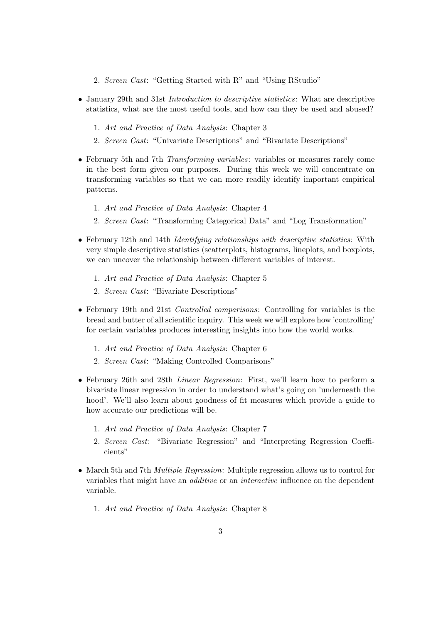- 2. Screen Cast: "Getting Started with R" and "Using RStudio"
- January 29th and 31st *Introduction to descriptive statistics*: What are descriptive statistics, what are the most useful tools, and how can they be used and abused?
	- 1. Art and Practice of Data Analysis: Chapter 3
	- 2. Screen Cast: "Univariate Descriptions" and "Bivariate Descriptions"
- February 5th and 7th *Transforming variables*: variables or measures rarely come in the best form given our purposes. During this week we will concentrate on transforming variables so that we can more readily identify important empirical patterns.
	- 1. Art and Practice of Data Analysis: Chapter 4
	- 2. Screen Cast: "Transforming Categorical Data" and "Log Transformation"
- February 12th and 14th Identifying relationships with descriptive statistics: With very simple descriptive statistics (scatterplots, histograms, lineplots, and boxplots, we can uncover the relationship between different variables of interest.
	- 1. Art and Practice of Data Analysis: Chapter 5
	- 2. Screen Cast: "Bivariate Descriptions"
- February 19th and 21st *Controlled comparisons*: Controlling for variables is the bread and butter of all scientific inquiry. This week we will explore how 'controlling' for certain variables produces interesting insights into how the world works.
	- 1. Art and Practice of Data Analysis: Chapter 6
	- 2. Screen Cast: "Making Controlled Comparisons"
- February 26th and 28th *Linear Regression*: First, we'll learn how to perform a bivariate linear regression in order to understand what's going on 'underneath the hood'. We'll also learn about goodness of fit measures which provide a guide to how accurate our predictions will be.
	- 1. Art and Practice of Data Analysis: Chapter 7
	- 2. Screen Cast: "Bivariate Regression" and "Interpreting Regression Coefficients"
- March 5th and 7th Multiple Regression: Multiple regression allows us to control for variables that might have an *additive* or an *interactive* influence on the dependent variable.
	- 1. Art and Practice of Data Analysis: Chapter 8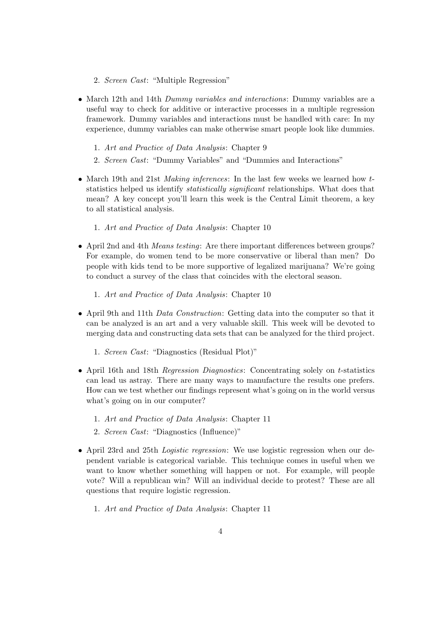- 2. Screen Cast: "Multiple Regression"
- March 12th and 14th *Dummy variables and interactions:* Dummy variables are a useful way to check for additive or interactive processes in a multiple regression framework. Dummy variables and interactions must be handled with care: In my experience, dummy variables can make otherwise smart people look like dummies.
	- 1. Art and Practice of Data Analysis: Chapter 9
	- 2. Screen Cast: "Dummy Variables" and "Dummies and Interactions"
- March 19th and 21st *Making inferences*: In the last few weeks we learned how tstatistics helped us identify statistically significant relationships. What does that mean? A key concept you'll learn this week is the Central Limit theorem, a key to all statistical analysis.
	- 1. Art and Practice of Data Analysis: Chapter 10
- April 2nd and 4th *Means testing*: Are there important differences between groups? For example, do women tend to be more conservative or liberal than men? Do people with kids tend to be more supportive of legalized marijuana? We're going to conduct a survey of the class that coincides with the electoral season.
	- 1. Art and Practice of Data Analysis: Chapter 10
- April 9th and 11th *Data Construction*: Getting data into the computer so that it can be analyzed is an art and a very valuable skill. This week will be devoted to merging data and constructing data sets that can be analyzed for the third project.
	- 1. Screen Cast: "Diagnostics (Residual Plot)"
- April 16th and 18th *Regression Diagnostics*: Concentrating solely on *t*-statistics can lead us astray. There are many ways to manufacture the results one prefers. How can we test whether our findings represent what's going on in the world versus what's going on in our computer?
	- 1. Art and Practice of Data Analysis: Chapter 11
	- 2. Screen Cast: "Diagnostics (Influence)"
- April 23rd and 25th *Logistic regression*: We use logistic regression when our dependent variable is categorical variable. This technique comes in useful when we want to know whether something will happen or not. For example, will people vote? Will a republican win? Will an individual decide to protest? These are all questions that require logistic regression.
	- 1. Art and Practice of Data Analysis: Chapter 11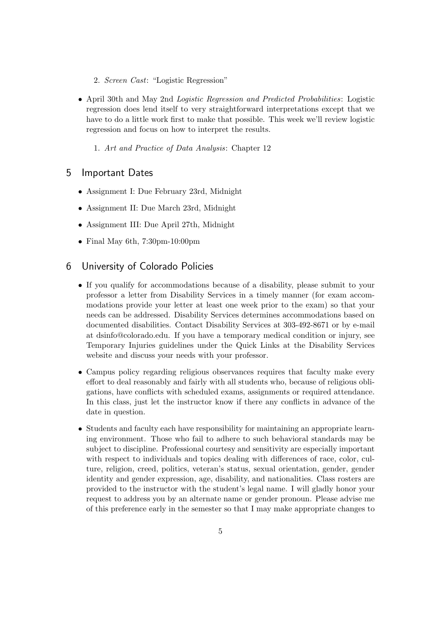- 2. Screen Cast: "Logistic Regression"
- April 30th and May 2nd *Logistic Regression and Predicted Probabilities*: Logistic regression does lend itself to very straightforward interpretations except that we have to do a little work first to make that possible. This week we'll review logistic regression and focus on how to interpret the results.
	- 1. Art and Practice of Data Analysis: Chapter 12

### 5 Important Dates

- Assignment I: Due February 23rd, Midnight
- Assignment II: Due March 23rd, Midnight
- Assignment III: Due April 27th, Midnight
- Final May 6th, 7:30pm-10:00pm

#### 6 University of Colorado Policies

- If you qualify for accommodations because of a disability, please submit to your professor a letter from Disability Services in a timely manner (for exam accommodations provide your letter at least one week prior to the exam) so that your needs can be addressed. Disability Services determines accommodations based on documented disabilities. Contact Disability Services at 303-492-8671 or by e-mail at dsinfo@colorado.edu. If you have a temporary medical condition or injury, see Temporary Injuries guidelines under the Quick Links at the Disability Services website and discuss your needs with your professor.
- Campus policy regarding religious observances requires that faculty make every effort to deal reasonably and fairly with all students who, because of religious obligations, have conflicts with scheduled exams, assignments or required attendance. In this class, just let the instructor know if there any conflicts in advance of the date in question.
- Students and faculty each have responsibility for maintaining an appropriate learning environment. Those who fail to adhere to such behavioral standards may be subject to discipline. Professional courtesy and sensitivity are especially important with respect to individuals and topics dealing with differences of race, color, culture, religion, creed, politics, veteran's status, sexual orientation, gender, gender identity and gender expression, age, disability, and nationalities. Class rosters are provided to the instructor with the student's legal name. I will gladly honor your request to address you by an alternate name or gender pronoun. Please advise me of this preference early in the semester so that I may make appropriate changes to